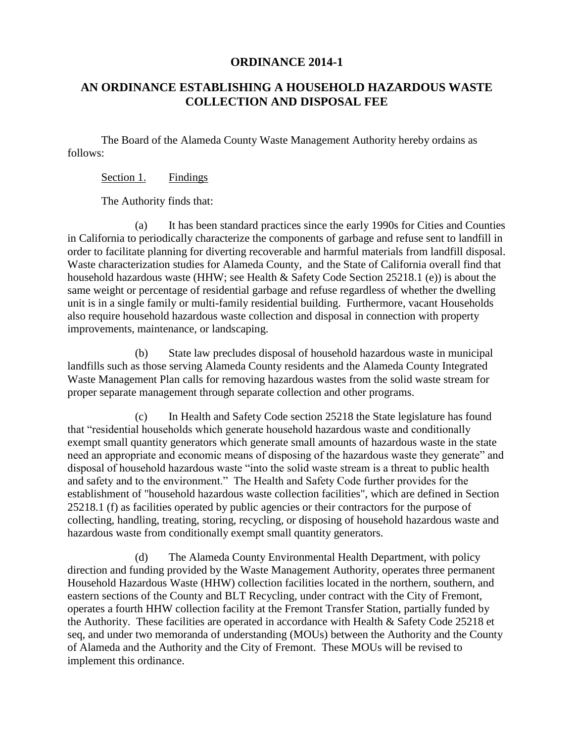## **ORDINANCE 2014-1**

# **AN ORDINANCE ESTABLISHING A HOUSEHOLD HAZARDOUS WASTE COLLECTION AND DISPOSAL FEE**

The Board of the Alameda County Waste Management Authority hereby ordains as follows:

#### Section 1. Findings

The Authority finds that:

(a) It has been standard practices since the early 1990s for Cities and Counties in California to periodically characterize the components of garbage and refuse sent to landfill in order to facilitate planning for diverting recoverable and harmful materials from landfill disposal. Waste characterization studies for Alameda County, and the State of California overall find that household hazardous waste (HHW; see Health & Safety Code Section 25218.1 (e)) is about the same weight or percentage of residential garbage and refuse regardless of whether the dwelling unit is in a single family or multi-family residential building. Furthermore, vacant Households also require household hazardous waste collection and disposal in connection with property improvements, maintenance, or landscaping.

(b) State law precludes disposal of household hazardous waste in municipal landfills such as those serving Alameda County residents and the Alameda County Integrated Waste Management Plan calls for removing hazardous wastes from the solid waste stream for proper separate management through separate collection and other programs.

(c) In Health and Safety Code section 25218 the State legislature has found that "residential households which generate household hazardous waste and conditionally exempt small quantity generators which generate small amounts of hazardous waste in the state need an appropriate and economic means of disposing of the hazardous waste they generate" and disposal of household hazardous waste "into the solid waste stream is a threat to public health and safety and to the environment." The Health and Safety Code further provides for the establishment of "household hazardous waste collection facilities", which are defined in Section 25218.1 (f) as facilities operated by public agencies or their contractors for the purpose of collecting, handling, treating, storing, recycling, or disposing of household hazardous waste and hazardous waste from conditionally exempt small quantity generators.

(d) The Alameda County Environmental Health Department, with policy direction and funding provided by the Waste Management Authority, operates three permanent Household Hazardous Waste (HHW) collection facilities located in the northern, southern, and eastern sections of the County and BLT Recycling, under contract with the City of Fremont, operates a fourth HHW collection facility at the Fremont Transfer Station, partially funded by the Authority. These facilities are operated in accordance with Health & Safety Code 25218 et seq, and under two memoranda of understanding (MOUs) between the Authority and the County of Alameda and the Authority and the City of Fremont. These MOUs will be revised to implement this ordinance.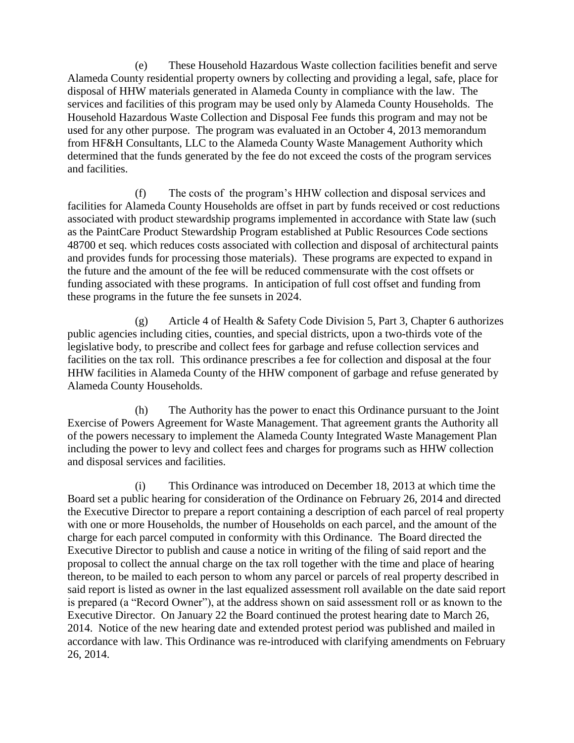(e) These Household Hazardous Waste collection facilities benefit and serve Alameda County residential property owners by collecting and providing a legal, safe, place for disposal of HHW materials generated in Alameda County in compliance with the law. The services and facilities of this program may be used only by Alameda County Households. The Household Hazardous Waste Collection and Disposal Fee funds this program and may not be used for any other purpose. The program was evaluated in an October 4, 2013 memorandum from HF&H Consultants, LLC to the Alameda County Waste Management Authority which determined that the funds generated by the fee do not exceed the costs of the program services and facilities.

(f) The costs of the program's HHW collection and disposal services and facilities for Alameda County Households are offset in part by funds received or cost reductions associated with product stewardship programs implemented in accordance with State law (such as the PaintCare Product Stewardship Program established at Public Resources Code sections 48700 et seq. which reduces costs associated with collection and disposal of architectural paints and provides funds for processing those materials). These programs are expected to expand in the future and the amount of the fee will be reduced commensurate with the cost offsets or funding associated with these programs. In anticipation of full cost offset and funding from these programs in the future the fee sunsets in 2024.

(g) Article 4 of Health & Safety Code Division 5, Part 3, Chapter 6 authorizes public agencies including cities, counties, and special districts, upon a two-thirds vote of the legislative body, to prescribe and collect fees for garbage and refuse collection services and facilities on the tax roll. This ordinance prescribes a fee for collection and disposal at the four HHW facilities in Alameda County of the HHW component of garbage and refuse generated by Alameda County Households.

(h) The Authority has the power to enact this Ordinance pursuant to the Joint Exercise of Powers Agreement for Waste Management. That agreement grants the Authority all of the powers necessary to implement the Alameda County Integrated Waste Management Plan including the power to levy and collect fees and charges for programs such as HHW collection and disposal services and facilities.

(i) This Ordinance was introduced on December 18, 2013 at which time the Board set a public hearing for consideration of the Ordinance on February 26, 2014 and directed the Executive Director to prepare a report containing a description of each parcel of real property with one or more Households, the number of Households on each parcel, and the amount of the charge for each parcel computed in conformity with this Ordinance. The Board directed the Executive Director to publish and cause a notice in writing of the filing of said report and the proposal to collect the annual charge on the tax roll together with the time and place of hearing thereon, to be mailed to each person to whom any parcel or parcels of real property described in said report is listed as owner in the last equalized assessment roll available on the date said report is prepared (a "Record Owner"), at the address shown on said assessment roll or as known to the Executive Director. On January 22 the Board continued the protest hearing date to March 26, 2014. Notice of the new hearing date and extended protest period was published and mailed in accordance with law. This Ordinance was re-introduced with clarifying amendments on February 26, 2014.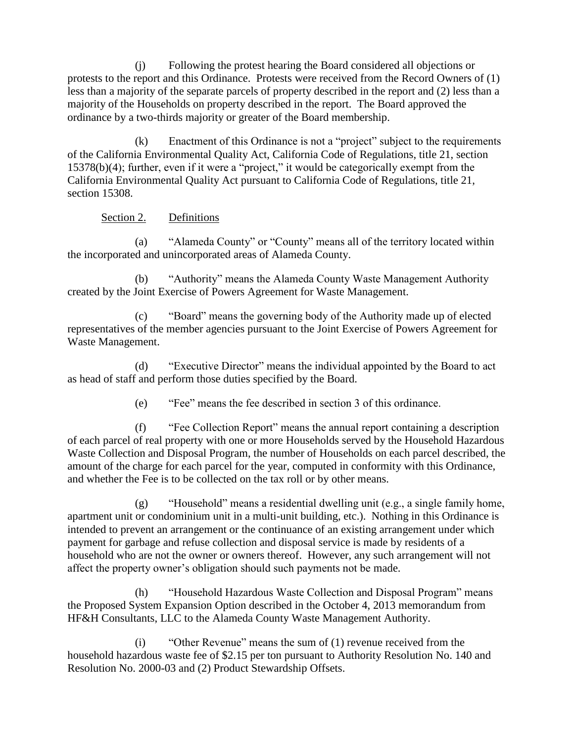(j) Following the protest hearing the Board considered all objections or protests to the report and this Ordinance. Protests were received from the Record Owners of (1) less than a majority of the separate parcels of property described in the report and (2) less than a majority of the Households on property described in the report. The Board approved the ordinance by a two-thirds majority or greater of the Board membership.

(k) Enactment of this Ordinance is not a "project" subject to the requirements of the California Environmental Quality Act, California Code of Regulations, title 21, section 15378(b)(4); further, even if it were a "project," it would be categorically exempt from the California Environmental Quality Act pursuant to California Code of Regulations, title 21, section 15308.

## Section 2. Definitions

(a) "Alameda County" or "County" means all of the territory located within the incorporated and unincorporated areas of Alameda County.

(b) "Authority" means the Alameda County Waste Management Authority created by the Joint Exercise of Powers Agreement for Waste Management.

(c) "Board" means the governing body of the Authority made up of elected representatives of the member agencies pursuant to the Joint Exercise of Powers Agreement for Waste Management.

(d) "Executive Director" means the individual appointed by the Board to act as head of staff and perform those duties specified by the Board.

(e) "Fee" means the fee described in section 3 of this ordinance.

(f) "Fee Collection Report" means the annual report containing a description of each parcel of real property with one or more Households served by the Household Hazardous Waste Collection and Disposal Program, the number of Households on each parcel described, the amount of the charge for each parcel for the year, computed in conformity with this Ordinance, and whether the Fee is to be collected on the tax roll or by other means.

(g) "Household" means a residential dwelling unit (e.g., a single family home, apartment unit or condominium unit in a multi-unit building, etc.). Nothing in this Ordinance is intended to prevent an arrangement or the continuance of an existing arrangement under which payment for garbage and refuse collection and disposal service is made by residents of a household who are not the owner or owners thereof. However, any such arrangement will not affect the property owner's obligation should such payments not be made.

(h) "Household Hazardous Waste Collection and Disposal Program" means the Proposed System Expansion Option described in the October 4, 2013 memorandum from HF&H Consultants, LLC to the Alameda County Waste Management Authority.

(i) "Other Revenue" means the sum of (1) revenue received from the household hazardous waste fee of \$2.15 per ton pursuant to Authority Resolution No. 140 and Resolution No. 2000-03 and (2) Product Stewardship Offsets.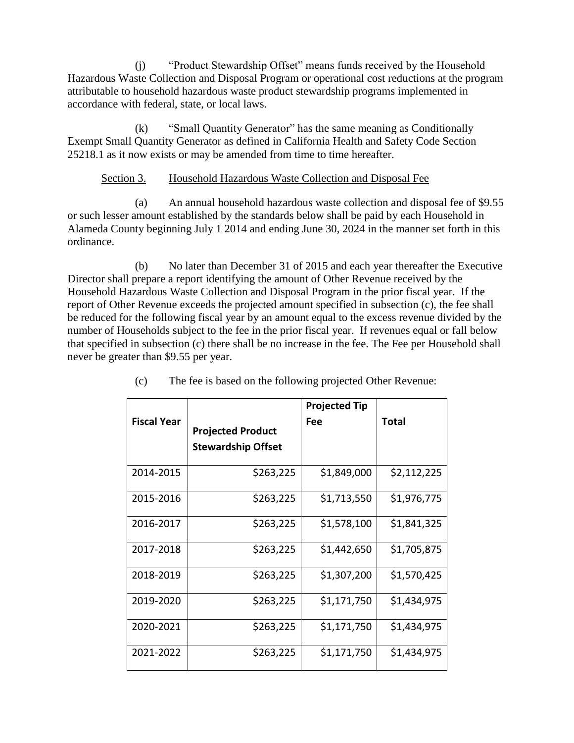(j) "Product Stewardship Offset" means funds received by the Household Hazardous Waste Collection and Disposal Program or operational cost reductions at the program attributable to household hazardous waste product stewardship programs implemented in accordance with federal, state, or local laws.

(k) "Small Quantity Generator" has the same meaning as Conditionally Exempt Small Quantity Generator as defined in California Health and Safety Code Section 25218.1 as it now exists or may be amended from time to time hereafter.

## Section 3. Household Hazardous Waste Collection and Disposal Fee

(a) An annual household hazardous waste collection and disposal fee of \$9.55 or such lesser amount established by the standards below shall be paid by each Household in Alameda County beginning July 1 2014 and ending June 30, 2024 in the manner set forth in this ordinance.

(b) No later than December 31 of 2015 and each year thereafter the Executive Director shall prepare a report identifying the amount of Other Revenue received by the Household Hazardous Waste Collection and Disposal Program in the prior fiscal year. If the report of Other Revenue exceeds the projected amount specified in subsection (c), the fee shall be reduced for the following fiscal year by an amount equal to the excess revenue divided by the number of Households subject to the fee in the prior fiscal year. If revenues equal or fall below that specified in subsection (c) there shall be no increase in the fee. The Fee per Household shall never be greater than \$9.55 per year.

|                    |                                                       | <b>Projected Tip</b> |             |
|--------------------|-------------------------------------------------------|----------------------|-------------|
| <b>Fiscal Year</b> | <b>Projected Product</b><br><b>Stewardship Offset</b> | Fee                  | Total       |
| 2014-2015          | \$263,225                                             | \$1,849,000          | \$2,112,225 |
| 2015-2016          | \$263,225                                             | \$1,713,550          | \$1,976,775 |
| 2016-2017          | \$263,225                                             | \$1,578,100          | \$1,841,325 |
| 2017-2018          | \$263,225                                             | \$1,442,650          | \$1,705,875 |
| 2018-2019          | \$263,225                                             | \$1,307,200          | \$1,570,425 |
| 2019-2020          | \$263,225                                             | \$1,171,750          | \$1,434,975 |
| 2020-2021          | \$263,225                                             | \$1,171,750          | \$1,434,975 |
| 2021-2022          | \$263,225                                             | \$1,171,750          | \$1,434,975 |

(c) The fee is based on the following projected Other Revenue: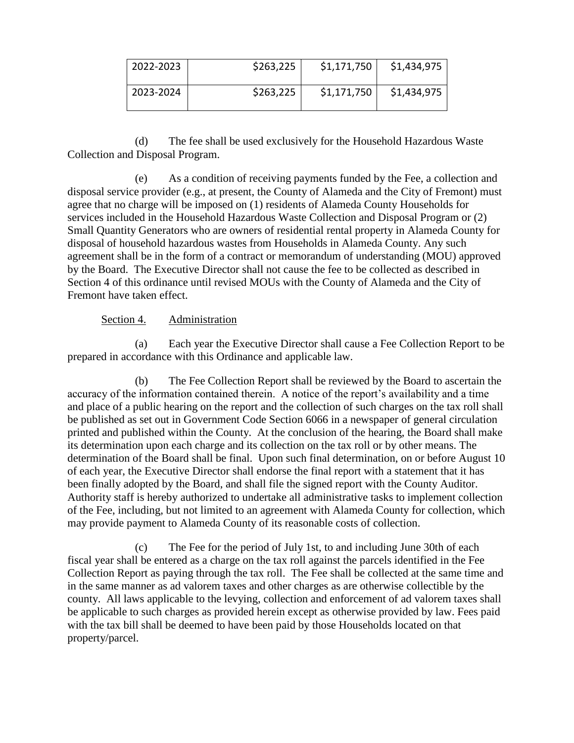| 2022-2023 | \$263,225 | \$1,171,750 | \$1,434,975 |
|-----------|-----------|-------------|-------------|
| 2023-2024 | \$263,225 | \$1,171,750 | \$1,434,975 |

(d) The fee shall be used exclusively for the Household Hazardous Waste Collection and Disposal Program.

(e) As a condition of receiving payments funded by the Fee, a collection and disposal service provider (e.g., at present, the County of Alameda and the City of Fremont) must agree that no charge will be imposed on (1) residents of Alameda County Households for services included in the Household Hazardous Waste Collection and Disposal Program or (2) Small Quantity Generators who are owners of residential rental property in Alameda County for disposal of household hazardous wastes from Households in Alameda County. Any such agreement shall be in the form of a contract or memorandum of understanding (MOU) approved by the Board. The Executive Director shall not cause the fee to be collected as described in Section 4 of this ordinance until revised MOUs with the County of Alameda and the City of Fremont have taken effect.

## Section 4. Administration

(a) Each year the Executive Director shall cause a Fee Collection Report to be prepared in accordance with this Ordinance and applicable law.

(b) The Fee Collection Report shall be reviewed by the Board to ascertain the accuracy of the information contained therein. A notice of the report's availability and a time and place of a public hearing on the report and the collection of such charges on the tax roll shall be published as set out in Government Code Section 6066 in a newspaper of general circulation printed and published within the County. At the conclusion of the hearing, the Board shall make its determination upon each charge and its collection on the tax roll or by other means. The determination of the Board shall be final. Upon such final determination, on or before August 10 of each year, the Executive Director shall endorse the final report with a statement that it has been finally adopted by the Board, and shall file the signed report with the County Auditor. Authority staff is hereby authorized to undertake all administrative tasks to implement collection of the Fee, including, but not limited to an agreement with Alameda County for collection, which may provide payment to Alameda County of its reasonable costs of collection.

(c) The Fee for the period of July 1st, to and including June 30th of each fiscal year shall be entered as a charge on the tax roll against the parcels identified in the Fee Collection Report as paying through the tax roll. The Fee shall be collected at the same time and in the same manner as ad valorem taxes and other charges as are otherwise collectible by the county. All laws applicable to the levying, collection and enforcement of ad valorem taxes shall be applicable to such charges as provided herein except as otherwise provided by law. Fees paid with the tax bill shall be deemed to have been paid by those Households located on that property/parcel.